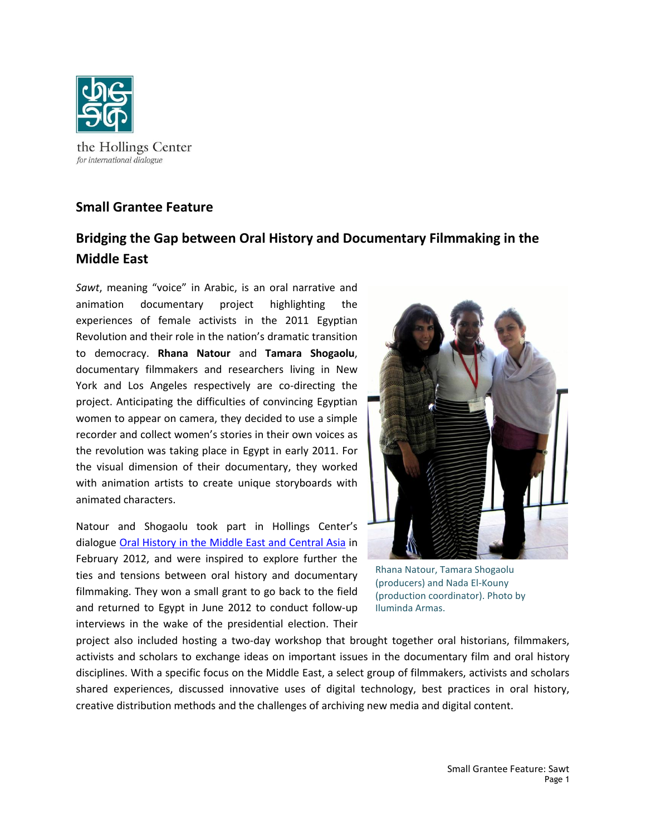

## **Small Grantee Feature**

## **Bridging the Gap between Oral History and Documentary Filmmaking in the Middle East**

*Sawt*, meaning "voice" in Arabic, is an oral narrative and animation documentary project highlighting the experiences of female activists in the 2011 Egyptian Revolution and their role in the nation's dramatic transition to democracy. **Rhana Natour** and **Tamara Shogaolu**, documentary filmmakers and researchers living in New York and Los Angeles respectively are co-directing the project. Anticipating the difficulties of convincing Egyptian women to appear on camera, they decided to use a simple recorder and collect women's stories in their own voices as the revolution was taking place in Egypt in early 2011. For the visual dimension of their documentary, they worked with animation artists to create unique storyboards with animated characters.

Natour and Shogaolu took part in Hollings Center's dialogue [Oral History in the Middle East and Central Asia](natour:%20We%20were%20very%20happy%20with%20the%20workshop%20because%20it%20gave%20filmmakers%20an%20opportunity%20to%20meet%20archivists%20and%20historians,%20and%20we%20saw%20that%20at%20the%20end%20of%20the%20workshop,%20these%20filmmakers%20had%20realized%20the%20importance%20of%20archives.%20For%20instance,%20the%20University%20on) in February 2012, and were inspired to explore further the ties and tensions between oral history and documentary filmmaking. They won a small grant to go back to the field and returned to Egypt in June 2012 to conduct follow-up interviews in the wake of the presidential election. Their



Rhana Natour, Tamara Shogaolu (producers) and Nada El-Kouny (production coordinator). Photo by Iluminda Armas.

project also included hosting a two-day workshop that brought together oral historians, filmmakers, activists and scholars to exchange ideas on important issues in the documentary film and oral history disciplines. With a specific focus on the Middle East, a select group of filmmakers, activists and scholars shared experiences, discussed innovative uses of digital technology, best practices in oral history, creative distribution methods and the challenges of archiving new media and digital content.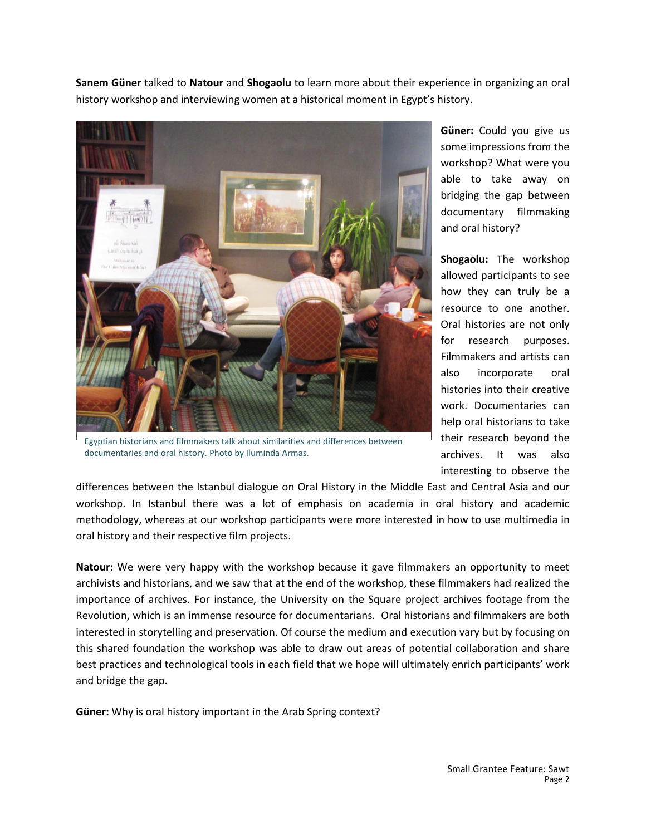**Sanem Güner** talked to **Natour** and **Shogaolu** to learn more about their experience in organizing an oral history workshop and interviewing women at a historical moment in Egypt's history.



Egyptian historians and filmmakers talk about similarities and differences between documentaries and oral history. Photo by Iluminda Armas.

**Güner:** Could you give us some impressions from the workshop? What were you able to take away on bridging the gap between documentary filmmaking and oral history?

**Shogaolu:** The workshop allowed participants to see how they can truly be a resource to one another. Oral histories are not only for research purposes. Filmmakers and artists can also incorporate oral histories into their creative work. Documentaries can help oral historians to take their research beyond the archives. It was also interesting to observe the

differences between the Istanbul dialogue on Oral History in the Middle East and Central Asia and our workshop. In Istanbul there was a lot of emphasis on academia in oral history and academic methodology, whereas at our workshop participants were more interested in how to use multimedia in oral history and their respective film projects.

**Natour:** We were very happy with the workshop because it gave filmmakers an opportunity to meet archivists and historians, and we saw that at the end of the workshop, these filmmakers had realized the importance of archives. For instance, the University on the Square project archives footage from the Revolution, which is an immense resource for documentarians. Oral historians and filmmakers are both interested in storytelling and preservation. Of course the medium and execution vary but by focusing on this shared foundation the workshop was able to draw out areas of potential collaboration and share best practices and technological tools in each field that we hope will ultimately enrich participants' work and bridge the gap.

**Güner:** Why is oral history important in the Arab Spring context?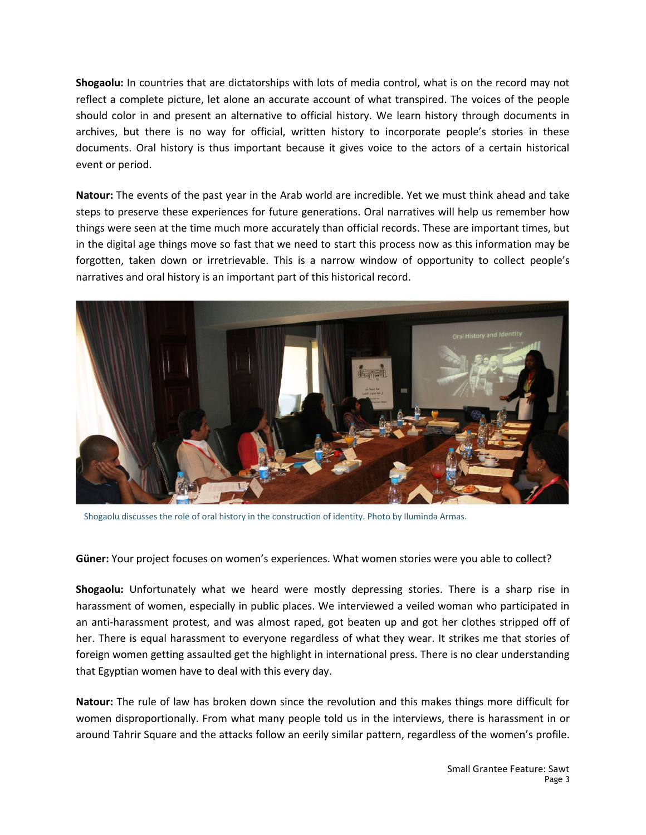**Shogaolu:** In countries that are dictatorships with lots of media control, what is on the record may not reflect a complete picture, let alone an accurate account of what transpired. The voices of the people should color in and present an alternative to official history. We learn history through documents in archives, but there is no way for official, written history to incorporate people's stories in these documents. Oral history is thus important because it gives voice to the actors of a certain historical event or period.

**Natour:** The events of the past year in the Arab world are incredible. Yet we must think ahead and take steps to preserve these experiences for future generations. Oral narratives will help us remember how things were seen at the time much more accurately than official records. These are important times, but in the digital age things move so fast that we need to start this process now as this information may be forgotten, taken down or irretrievable. This is a narrow window of opportunity to collect people's narratives and oral history is an important part of this historical record.



Shogaolu discusses the role of oral history in the construction of identity. Photo by Iluminda Armas.

**Güner:** Your project focuses on women's experiences. What women stories were you able to collect?

**Shogaolu:** Unfortunately what we heard were mostly depressing stories. There is a sharp rise in harassment of women, especially in public places. We interviewed a veiled woman who participated in an anti-harassment protest, and was almost raped, got beaten up and got her clothes stripped off of her. There is equal harassment to everyone regardless of what they wear. It strikes me that stories of foreign women getting assaulted get the highlight in international press. There is no clear understanding that Egyptian women have to deal with this every day.

**Natour:** The rule of law has broken down since the revolution and this makes things more difficult for women disproportionally. From what many people told us in the interviews, there is harassment in or around Tahrir Square and the attacks follow an eerily similar pattern, regardless of the women's profile.